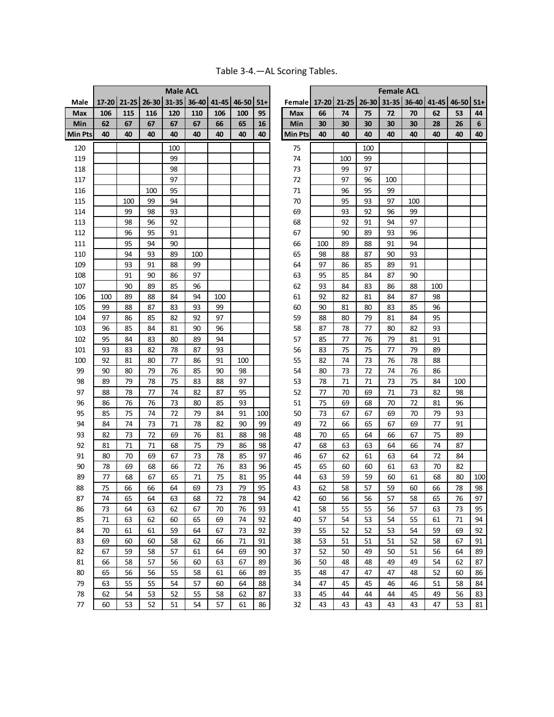|                       |          | 17-20 21-25 26-30 |          | <b>Male ACL</b> |             | $41 - 45$ |          |          |                       |          |          |                   | <b>Female ACL</b><br>$31 - 35$ |          |             |          |         |
|-----------------------|----------|-------------------|----------|-----------------|-------------|-----------|----------|----------|-----------------------|----------|----------|-------------------|--------------------------------|----------|-------------|----------|---------|
| Male                  |          |                   |          |                 | 31-35 36-40 |           | 46-50    | $51+$    | Female                |          |          | 17-20 21-25 26-30 |                                |          | 36-40 41-45 | 46-50    | $51+$   |
| Max                   | 106      | 115               | 116      | 120             | 110         | 106       | 100      | 95       | <b>Max</b>            | 66       | 74       | 75                | 72                             | 70       | 62          | 53       | 44      |
| Min<br><b>Min Pts</b> | 62<br>40 | 67<br>40          | 67<br>40 | 67<br>40        | 67<br>40    | 66<br>40  | 65<br>40 | 16<br>40 | Min<br><b>Min Pts</b> | 30<br>40 | 30<br>40 | 30<br>40          | 30<br>40                       | 30<br>40 | 28<br>40    | 26<br>40 | 6<br>40 |
|                       |          |                   |          |                 |             |           |          |          |                       |          |          |                   |                                |          |             |          |         |
| 120                   |          |                   |          | 100             |             |           |          |          | 75                    |          |          | 100               |                                |          |             |          |         |
| 119                   |          |                   |          | 99              |             |           |          |          | 74                    |          | 100      | 99                |                                |          |             |          |         |
| 118                   |          |                   |          | 98              |             |           |          |          | 73                    |          | 99       | 97                |                                |          |             |          |         |
| 117                   |          |                   |          | 97              |             |           |          |          | 72                    |          | 97       | 96                | 100                            |          |             |          |         |
| 116                   |          |                   | 100      | 95              |             |           |          |          | 71                    |          | 96       | 95                | 99                             |          |             |          |         |
| 115                   |          | 100               | 99       | 94              |             |           |          |          | 70                    |          | 95       | 93                | 97                             | 100      |             |          |         |
| 114                   |          | 99                | 98       | 93              |             |           |          |          | 69                    |          | 93       | 92                | 96                             | 99       |             |          |         |
| 113                   |          | 98                | 96       | 92              |             |           |          |          | 68                    |          | 92       | 91                | 94                             | 97       |             |          |         |
| 112                   |          | 96                | 95       | 91              |             |           |          |          | 67                    |          | 90       | 89                | 93                             | 96       |             |          |         |
| 111                   |          | 95                | 94       | 90              |             |           |          |          | 66                    | 100      | 89       | 88                | 91                             | 94       |             |          |         |
| 110                   |          | 94                | 93       | 89              | 100         |           |          |          | 65                    | 98       | 88       | 87                | 90                             | 93       |             |          |         |
| 109                   |          | 93                | 91       | 88              | 99          |           |          |          | 64                    | 97       | 86       | 85                | 89                             | 91       |             |          |         |
| 108                   |          | 91                | 90       | 86              | 97          |           |          |          | 63                    | 95       | 85       | 84                | 87                             | 90       |             |          |         |
| 107                   |          | 90                | 89       | 85              | 96          |           |          |          | 62                    | 93       | 84       | 83                | 86                             | 88       | 100         |          |         |
| 106                   | 100      | 89                | 88       | 84              | 94          | 100       |          |          | 61                    | 92       | 82       | 81                | 84                             | 87       | 98          |          |         |
| 105                   | 99       | 88                | 87       | 83              | 93          | 99        |          |          | 60                    | 90       | 81       | 80                | 83                             | 85       | 96          |          |         |
| 104                   | 97       | 86                | 85       | 82              | 92          | 97        |          |          | 59                    | 88       | 80       | 79                | 81                             | 84       | 95          |          |         |
| 103                   | 96       | 85                | 84       | 81              | 90          | 96        |          |          | 58                    | 87       | 78       | 77                | 80                             | 82       | 93          |          |         |
| 102                   | 95       | 84                | 83       | 80              | 89          | 94        |          |          | 57                    | 85       | 77       | 76                | 79                             | 81       | 91          |          |         |
| 101                   | 93       | 83                | 82       | 78              | 87          | 93        |          |          | 56                    | 83       | 75       | 75                | 77                             | 79       | 89          |          |         |
| 100                   | 92       | 81                | 80       | 77              | 86          | 91        | 100      |          | 55                    | 82       | 74       | 73                | 76                             | 78       | 88          |          |         |
| 99                    | 90       | 80                | 79       | 76              | 85          | 90        | 98       |          | 54                    | 80       | 73       | 72                | 74                             | 76       | 86          |          |         |
| 98                    | 89       | 79                | 78       | 75              | 83          | 88        | 97       |          | 53                    | 78       | 71       | 71                | 73                             | 75       | 84          | 100      |         |
| 97                    | 88       | 78                | 77       | 74              | 82          | 87        | 95       |          | 52                    | 77       | 70       | 69                | 71                             | 73       | 82          | 98       |         |
| 96                    | 86       | 76                | 76       | 73              | 80          | 85        | 93       |          | 51                    | 75       | 69       | 68                | 70                             | 72       | 81          | 96       |         |
| 95                    | 85       | 75                | 74       | 72              | 79          | 84        | 91       | 100      | 50                    | 73       | 67       | 67                | 69                             | 70       | 79          | 93       |         |
| 94                    | 84       | 74                | 73       | 71              | 78          | 82        | 90       | 99       | 49                    | 72       | 66       | 65                | 67                             | 69       | 77          | 91       |         |
| 93                    | 82       | 73                | 72       | 69              | 76          | 81        | 88       | 98       | 48                    | 70       | 65       | 64                | 66                             | 67       | 75          | 89       |         |
| 92                    | 81       | 71                | 71       | 68              | 75          | 79        | 86       | 98       | 47                    | 68       | 63       | 63                | 64                             | 66       | 74          | 87       |         |
| 91                    | 80       | 70                | 69       | 67              | 73          | 78        | 85       | 97       | 46                    | 67       | 62       | 61                | 63                             | 64       | 72          | 84       |         |
| 90                    | 78       | 69                | 68       | 66              | 72          | 76        | 83       | 96       | 45                    | 65       | 60       | 60                | 61                             | 63       | 70          | 82       |         |
| 89                    | 77       | 68                | 67       | 65              | 71          | 75        | 81       | 95       | 44                    | 63       | 59       | 59                | 60                             | 61       | 68          | 80       | 100     |
| 88                    | 75       | 66                | 66       | 64              | 69          | 73        | 79       | 95       | 43                    | 62       | 58       | 57                | 59                             | 60       | 66          | 78       | 98      |
| 87                    | 74       | 65                | 64       | 63              | 68          | 72        | 78       | 94       | 42                    | 60       | 56       | 56                | 57                             | 58       | 65          | 76       | 97      |
| 86                    | 73       | 64                | 63       | 62              | 67          | 70        | 76       | 93       | 41                    | 58       | 55       | 55                | 56                             | 57       | 63          | 73       | 95      |
| 85                    | 71       | 63                | 62       | 60              | 65          | 69        | 74       | 92       | 40                    | 57       | 54       | 53                | 54                             | 55       | 61          | 71       | 94      |
| 84                    | 70       | 61                | 61       | 59              | 64          | 67        | 73       | 92       | 39                    | 55       | 52       | 52                | 53                             | 54       | 59          | 69       | 92      |
| 83                    | 69       | 60                | 60       | 58              | 62          | 66        | 71       | 91       | 38                    | 53       | 51       | 51                | 51                             | 52       | 58          | 67       | 91      |
| 82                    | 67       | 59                | 58       | 57              | 61          | 64        | 69       | 90       | 37                    | 52       | 50       | 49                | 50                             | 51       | 56          | 64       | 89      |
| 81                    | 66       | 58                | 57       | 56              | 60          | 63        | 67       | 89       | 36                    | 50       | 48       | 48                | 49                             | 49       | 54          | 62       | 87      |
| 80                    | 65       | 56                | 56       | 55              | 58          | 61        | 66       | 89       | 35                    | 48       | 47       | 47                | 47                             | 48       | 52          | 60       | 86      |
| 79                    | 63       | 55                | 55       | 54              | 57          | 60        | 64       | 88       | 34                    | 47       | 45       | 45                | 46                             | 46       | 51          | 58       | 84      |
| 78                    | 62       | 54                | 53       | 52              | 55          | 58        | 62       | 87       | 33                    | 45       | 44       | 44                | 44                             | 45       | 49          | 56       | 83      |
| 77                    | 60       | 53                | 52       | 51              | 54          | 57        | 61       | 86       | 32                    | 43       | 43       | 43                | 43                             | 43       | 47          | 53       | 81      |

|  | Table 3-4. - AL Scoring Tables. |  |
|--|---------------------------------|--|
|  |                                 |  |

| <b>Male ACL</b> |     |             |           |       |                          |     |     |     | <b>Female ACL</b> |     |                   |     |       |
|-----------------|-----|-------------|-----------|-------|--------------------------|-----|-----|-----|-------------------|-----|-------------------|-----|-------|
| $31 - 35$       |     | 36-40 41-45 | $46 - 50$ | $51+$ | Female 17-20 21-25 26-30 |     |     |     | $31 - 35$         |     | 36-40 41-45 46-50 |     | $51+$ |
| 120             | 110 | 106         | 100       | 95    | Max                      | 66  | 74  | 75  | 72                | 70  | 62                | 53  | 44    |
| 67              | 67  | 66          | 65        | 16    | Min                      | 30  | 30  | 30  | 30                | 30  | 28                | 26  | 6     |
| 40              | 40  | 40          | 40        | 40    | <b>Min Pts</b>           | 40  | 40  | 40  | 40                | 40  | 40                | 40  | 40    |
| 100             |     |             |           |       | 75                       |     |     | 100 |                   |     |                   |     |       |
| 99              |     |             |           |       | 74                       |     | 100 | 99  |                   |     |                   |     |       |
| 98              |     |             |           |       | 73                       |     | 99  | 97  |                   |     |                   |     |       |
| 97              |     |             |           |       | 72                       |     | 97  | 96  | 100               |     |                   |     |       |
| 95              |     |             |           |       | 71                       |     | 96  | 95  | 99                |     |                   |     |       |
| 94              |     |             |           |       | 70                       |     | 95  | 93  | 97                | 100 |                   |     |       |
| 93              |     |             |           |       | 69                       |     | 93  | 92  | 96                | 99  |                   |     |       |
| 92              |     |             |           |       | 68                       |     | 92  | 91  | 94                | 97  |                   |     |       |
| 91              |     |             |           |       | 67                       |     | 90  | 89  | 93                | 96  |                   |     |       |
| 90              |     |             |           |       | 66                       | 100 | 89  | 88  | 91                | 94  |                   |     |       |
| 89              | 100 |             |           |       | 65                       | 98  | 88  | 87  | 90                | 93  |                   |     |       |
| 88              | 99  |             |           |       | 64                       | 97  | 86  | 85  | 89                | 91  |                   |     |       |
| 86              | 97  |             |           |       | 63                       | 95  | 85  | 84  | 87                | 90  |                   |     |       |
| 85              | 96  |             |           |       | 62                       | 93  | 84  | 83  | 86                | 88  | 100               |     |       |
| 84              | 94  | 100         |           |       | 61                       | 92  | 82  | 81  | 84                | 87  | 98                |     |       |
| 83              | 93  | 99          |           |       | 60                       | 90  | 81  | 80  | 83                | 85  | 96                |     |       |
| 82              | 92  | 97          |           |       | 59                       | 88  | 80  | 79  | 81                | 84  | 95                |     |       |
| 81              | 90  | 96          |           |       | 58                       | 87  | 78  | 77  | 80                | 82  | 93                |     |       |
| 80              | 89  | 94          |           |       | 57                       | 85  | 77  | 76  | 79                | 81  | 91                |     |       |
| 78              | 87  | 93          |           |       | 56                       | 83  | 75  | 75  | 77                | 79  | 89                |     |       |
| 77              | 86  | 91          | 100       |       | 55                       | 82  | 74  | 73  | 76                | 78  | 88                |     |       |
| 76              | 85  | 90          | 98        |       | 54                       | 80  | 73  | 72  | 74                | 76  | 86                |     |       |
| 75              | 83  | 88          | 97        |       | 53                       | 78  | 71  | 71  | 73                | 75  | 84                | 100 |       |
| 74              | 82  | 87          | 95        |       | 52                       | 77  | 70  | 69  | 71                | 73  | 82                | 98  |       |
| 73              | 80  | 85          | 93        |       | 51                       | 75  | 69  | 68  | 70                | 72  | 81                | 96  |       |
| 72              | 79  | 84          | 91        | 100   | 50                       | 73  | 67  | 67  | 69                | 70  | 79                | 93  |       |
| 71              | 78  | 82          | 90        | 99    | 49                       | 72  | 66  | 65  | 67                | 69  | 77                | 91  |       |
| 69              | 76  | 81          | 88        | 98    | 48                       | 70  | 65  | 64  | 66                | 67  | 75                | 89  |       |
| 68              | 75  | 79          | 86        | 98    | 47                       | 68  | 63  | 63  | 64                | 66  | 74                | 87  |       |
| 67              | 73  | 78          | 85        | 97    | 46                       | 67  | 62  | 61  | 63                | 64  | 72                | 84  |       |
| 66              | 72  | 76          | 83        | 96    | 45                       | 65  | 60  | 60  | 61                | 63  | 70                | 82  |       |
| 65              | 71  | 75          | 81        | 95    | 44                       | 63  | 59  | 59  | 60                | 61  | 68                | 80  | 100   |
| 64              | 69  | 73          | 79        | 95    | 43                       | 62  | 58  | 57  | 59                | 60  | 66                | 78  | ୨୪    |
| 63              | 68  | 72          | 78        | 94    | 42                       | 60  | 56  | 56  | 57                | 58  | 65                | 76  | 97    |
| 62              | 67  | 70          | 76        | 93    | 41                       | 58  | 55  | 55  | 56                | 57  | 63                | 73  | 95    |
| 60              | 65  | 69          | 74        | 92    | 40                       | 57  | 54  | 53  | 54                | 55  | 61                | 71  | 94    |
| 59              | 64  | 67          | 73        | 92    | 39                       | 55  | 52  | 52  | 53                | 54  | 59                | 69  | 92    |
| 58              | 62  | 66          | 71        | 91    | 38                       | 53  | 51  | 51  | 51                | 52  | 58                | 67  | 91    |
| 57              | 61  | 64          | 69        | 90    | 37                       | 52  | 50  | 49  | 50                | 51  | 56                | 64  | 89    |
| 56              | 60  | 63          | 67        | 89    | 36                       | 50  | 48  | 48  | 49                | 49  | 54                | 62  | 87    |
| 55              | 58  | 61          | 66        | 89    | 35                       | 48  | 47  | 47  | 47                | 48  | 52                | 60  | 86    |
| 54              | 57  | 60          | 64        | 88    | 34                       | 47  | 45  | 45  | 46                | 46  | 51                | 58  | 84    |
| 52              | 55  | 58          | 62        | 87    | 33                       | 45  | 44  | 44  | 44                | 45  | 49                | 56  | 83    |
| 51              | 54  | 57          | 61        | 86    | 32                       | 43  | 43  | 43  | 43                | 43  | 47                | 53  | R1    |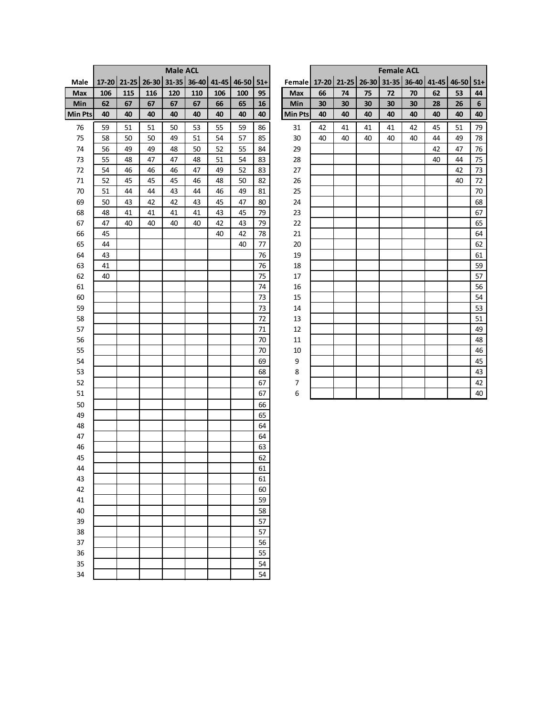| 31-35 36-40 41-45 46-50<br>Female 17-20 21-25 26-30 31-35 36-40 41-45 46-50 51+<br>17-20 21-25 26-30<br>$51+$<br>Male<br>115<br>106<br>116<br>120<br>110<br>106<br>100<br>95<br>Max<br>66<br>74<br>75<br>72<br>70<br>53<br>Max<br>62<br>44<br>62<br>67<br>67<br>67<br>65<br>Min<br>30<br>$\boldsymbol{6}$<br>Min<br>67<br>66<br>16<br>30<br>30<br>30<br>30<br>26<br>28<br>Min Pts<br>40<br>40<br>40<br>40<br>40<br>40<br>40<br>40<br><b>Min Pts</b><br>40<br>40<br>40<br>40<br>40<br>40<br>40<br>40<br>50<br>53<br>41<br>51<br>79<br>76<br>59<br>51<br>51<br>55<br>59<br>86<br>31<br>42<br>41<br>41<br>42<br>45<br>75<br>58<br>50<br>50<br>49<br>51<br>54<br>57<br>85<br>30<br>40<br>40<br>40<br>40<br>40<br>44<br>49<br>78<br>74<br>56<br>29<br>49<br>49<br>48<br>50<br>52<br>55<br>84<br>42<br>47<br>76<br>73<br>55<br>48<br>47<br>47<br>48<br>51<br>54<br>83<br>28<br>40<br>44<br>75<br>72<br>54<br>52<br>27<br>73<br>46<br>46<br>46<br>47<br>49<br>83<br>42<br>$71\,$<br>52<br>45<br>46<br>82<br>26<br>$72\,$<br>45<br>45<br>48<br>50<br>40<br>70<br>25<br>51<br>44<br>44<br>43<br>44<br>46<br>49<br>81<br>70<br>69<br>50<br>43<br>42<br>42<br>43<br>45<br>47<br>80<br>24<br>68<br>79<br>67<br>68<br>48<br>41<br>41<br>41<br>41<br>43<br>45<br>23<br>67<br>47<br>40<br>40<br>79<br>65<br>40<br>40<br>42<br>43<br>22<br>45<br>78<br>64<br>66<br>40<br>42<br>21<br>65<br>77<br>62<br>44<br>40<br>20<br>64<br>76<br>43<br>19<br>61<br>63<br>76<br>59<br>41<br>$18\,$<br>57<br>75<br>62<br>40<br>17<br>74<br>56<br>61<br>16<br>73<br>54<br>60<br>15<br>73<br>59<br>53<br>14<br>72<br>51<br>58<br>13<br>57<br>71<br>12<br>49<br>70<br>56<br>48<br>$11\,$<br>70<br>46<br>55<br>$10\,$<br>54<br>69<br>$\boldsymbol{9}$<br>45<br>53<br>68<br>8<br>43<br>52<br>$\boldsymbol{7}$<br>67<br>42<br>51<br>6<br>40<br>67<br>50<br>66<br>49<br>65<br>48<br>64<br>64<br>47<br>46<br>63<br>62<br>45<br>61<br>44<br>43<br>61<br>42<br>60<br>59<br>41<br>58<br>40<br>57<br>39<br>38<br>57<br>37<br>56<br>55<br>36<br>54<br>35<br>34<br>54 |  |  | <b>Male ACL</b> |  |  |  |  | <b>Female ACL</b> |  |  |
|---------------------------------------------------------------------------------------------------------------------------------------------------------------------------------------------------------------------------------------------------------------------------------------------------------------------------------------------------------------------------------------------------------------------------------------------------------------------------------------------------------------------------------------------------------------------------------------------------------------------------------------------------------------------------------------------------------------------------------------------------------------------------------------------------------------------------------------------------------------------------------------------------------------------------------------------------------------------------------------------------------------------------------------------------------------------------------------------------------------------------------------------------------------------------------------------------------------------------------------------------------------------------------------------------------------------------------------------------------------------------------------------------------------------------------------------------------------------------------------------------------------------------------------------------------------------------------------------------------------------------------------------------------------------------------------------------------------------------------------------------------------------------------------------------------------------------------------------------------------------------------------------------------------------------------------------------------------------------------------------------------------------------|--|--|-----------------|--|--|--|--|-------------------|--|--|
|                                                                                                                                                                                                                                                                                                                                                                                                                                                                                                                                                                                                                                                                                                                                                                                                                                                                                                                                                                                                                                                                                                                                                                                                                                                                                                                                                                                                                                                                                                                                                                                                                                                                                                                                                                                                                                                                                                                                                                                                                           |  |  |                 |  |  |  |  |                   |  |  |
|                                                                                                                                                                                                                                                                                                                                                                                                                                                                                                                                                                                                                                                                                                                                                                                                                                                                                                                                                                                                                                                                                                                                                                                                                                                                                                                                                                                                                                                                                                                                                                                                                                                                                                                                                                                                                                                                                                                                                                                                                           |  |  |                 |  |  |  |  |                   |  |  |
|                                                                                                                                                                                                                                                                                                                                                                                                                                                                                                                                                                                                                                                                                                                                                                                                                                                                                                                                                                                                                                                                                                                                                                                                                                                                                                                                                                                                                                                                                                                                                                                                                                                                                                                                                                                                                                                                                                                                                                                                                           |  |  |                 |  |  |  |  |                   |  |  |
|                                                                                                                                                                                                                                                                                                                                                                                                                                                                                                                                                                                                                                                                                                                                                                                                                                                                                                                                                                                                                                                                                                                                                                                                                                                                                                                                                                                                                                                                                                                                                                                                                                                                                                                                                                                                                                                                                                                                                                                                                           |  |  |                 |  |  |  |  |                   |  |  |
|                                                                                                                                                                                                                                                                                                                                                                                                                                                                                                                                                                                                                                                                                                                                                                                                                                                                                                                                                                                                                                                                                                                                                                                                                                                                                                                                                                                                                                                                                                                                                                                                                                                                                                                                                                                                                                                                                                                                                                                                                           |  |  |                 |  |  |  |  |                   |  |  |
|                                                                                                                                                                                                                                                                                                                                                                                                                                                                                                                                                                                                                                                                                                                                                                                                                                                                                                                                                                                                                                                                                                                                                                                                                                                                                                                                                                                                                                                                                                                                                                                                                                                                                                                                                                                                                                                                                                                                                                                                                           |  |  |                 |  |  |  |  |                   |  |  |
|                                                                                                                                                                                                                                                                                                                                                                                                                                                                                                                                                                                                                                                                                                                                                                                                                                                                                                                                                                                                                                                                                                                                                                                                                                                                                                                                                                                                                                                                                                                                                                                                                                                                                                                                                                                                                                                                                                                                                                                                                           |  |  |                 |  |  |  |  |                   |  |  |
|                                                                                                                                                                                                                                                                                                                                                                                                                                                                                                                                                                                                                                                                                                                                                                                                                                                                                                                                                                                                                                                                                                                                                                                                                                                                                                                                                                                                                                                                                                                                                                                                                                                                                                                                                                                                                                                                                                                                                                                                                           |  |  |                 |  |  |  |  |                   |  |  |
|                                                                                                                                                                                                                                                                                                                                                                                                                                                                                                                                                                                                                                                                                                                                                                                                                                                                                                                                                                                                                                                                                                                                                                                                                                                                                                                                                                                                                                                                                                                                                                                                                                                                                                                                                                                                                                                                                                                                                                                                                           |  |  |                 |  |  |  |  |                   |  |  |
|                                                                                                                                                                                                                                                                                                                                                                                                                                                                                                                                                                                                                                                                                                                                                                                                                                                                                                                                                                                                                                                                                                                                                                                                                                                                                                                                                                                                                                                                                                                                                                                                                                                                                                                                                                                                                                                                                                                                                                                                                           |  |  |                 |  |  |  |  |                   |  |  |
|                                                                                                                                                                                                                                                                                                                                                                                                                                                                                                                                                                                                                                                                                                                                                                                                                                                                                                                                                                                                                                                                                                                                                                                                                                                                                                                                                                                                                                                                                                                                                                                                                                                                                                                                                                                                                                                                                                                                                                                                                           |  |  |                 |  |  |  |  |                   |  |  |
|                                                                                                                                                                                                                                                                                                                                                                                                                                                                                                                                                                                                                                                                                                                                                                                                                                                                                                                                                                                                                                                                                                                                                                                                                                                                                                                                                                                                                                                                                                                                                                                                                                                                                                                                                                                                                                                                                                                                                                                                                           |  |  |                 |  |  |  |  |                   |  |  |
|                                                                                                                                                                                                                                                                                                                                                                                                                                                                                                                                                                                                                                                                                                                                                                                                                                                                                                                                                                                                                                                                                                                                                                                                                                                                                                                                                                                                                                                                                                                                                                                                                                                                                                                                                                                                                                                                                                                                                                                                                           |  |  |                 |  |  |  |  |                   |  |  |
|                                                                                                                                                                                                                                                                                                                                                                                                                                                                                                                                                                                                                                                                                                                                                                                                                                                                                                                                                                                                                                                                                                                                                                                                                                                                                                                                                                                                                                                                                                                                                                                                                                                                                                                                                                                                                                                                                                                                                                                                                           |  |  |                 |  |  |  |  |                   |  |  |
|                                                                                                                                                                                                                                                                                                                                                                                                                                                                                                                                                                                                                                                                                                                                                                                                                                                                                                                                                                                                                                                                                                                                                                                                                                                                                                                                                                                                                                                                                                                                                                                                                                                                                                                                                                                                                                                                                                                                                                                                                           |  |  |                 |  |  |  |  |                   |  |  |
|                                                                                                                                                                                                                                                                                                                                                                                                                                                                                                                                                                                                                                                                                                                                                                                                                                                                                                                                                                                                                                                                                                                                                                                                                                                                                                                                                                                                                                                                                                                                                                                                                                                                                                                                                                                                                                                                                                                                                                                                                           |  |  |                 |  |  |  |  |                   |  |  |
|                                                                                                                                                                                                                                                                                                                                                                                                                                                                                                                                                                                                                                                                                                                                                                                                                                                                                                                                                                                                                                                                                                                                                                                                                                                                                                                                                                                                                                                                                                                                                                                                                                                                                                                                                                                                                                                                                                                                                                                                                           |  |  |                 |  |  |  |  |                   |  |  |
|                                                                                                                                                                                                                                                                                                                                                                                                                                                                                                                                                                                                                                                                                                                                                                                                                                                                                                                                                                                                                                                                                                                                                                                                                                                                                                                                                                                                                                                                                                                                                                                                                                                                                                                                                                                                                                                                                                                                                                                                                           |  |  |                 |  |  |  |  |                   |  |  |
|                                                                                                                                                                                                                                                                                                                                                                                                                                                                                                                                                                                                                                                                                                                                                                                                                                                                                                                                                                                                                                                                                                                                                                                                                                                                                                                                                                                                                                                                                                                                                                                                                                                                                                                                                                                                                                                                                                                                                                                                                           |  |  |                 |  |  |  |  |                   |  |  |
|                                                                                                                                                                                                                                                                                                                                                                                                                                                                                                                                                                                                                                                                                                                                                                                                                                                                                                                                                                                                                                                                                                                                                                                                                                                                                                                                                                                                                                                                                                                                                                                                                                                                                                                                                                                                                                                                                                                                                                                                                           |  |  |                 |  |  |  |  |                   |  |  |
|                                                                                                                                                                                                                                                                                                                                                                                                                                                                                                                                                                                                                                                                                                                                                                                                                                                                                                                                                                                                                                                                                                                                                                                                                                                                                                                                                                                                                                                                                                                                                                                                                                                                                                                                                                                                                                                                                                                                                                                                                           |  |  |                 |  |  |  |  |                   |  |  |
|                                                                                                                                                                                                                                                                                                                                                                                                                                                                                                                                                                                                                                                                                                                                                                                                                                                                                                                                                                                                                                                                                                                                                                                                                                                                                                                                                                                                                                                                                                                                                                                                                                                                                                                                                                                                                                                                                                                                                                                                                           |  |  |                 |  |  |  |  |                   |  |  |
|                                                                                                                                                                                                                                                                                                                                                                                                                                                                                                                                                                                                                                                                                                                                                                                                                                                                                                                                                                                                                                                                                                                                                                                                                                                                                                                                                                                                                                                                                                                                                                                                                                                                                                                                                                                                                                                                                                                                                                                                                           |  |  |                 |  |  |  |  |                   |  |  |
|                                                                                                                                                                                                                                                                                                                                                                                                                                                                                                                                                                                                                                                                                                                                                                                                                                                                                                                                                                                                                                                                                                                                                                                                                                                                                                                                                                                                                                                                                                                                                                                                                                                                                                                                                                                                                                                                                                                                                                                                                           |  |  |                 |  |  |  |  |                   |  |  |
|                                                                                                                                                                                                                                                                                                                                                                                                                                                                                                                                                                                                                                                                                                                                                                                                                                                                                                                                                                                                                                                                                                                                                                                                                                                                                                                                                                                                                                                                                                                                                                                                                                                                                                                                                                                                                                                                                                                                                                                                                           |  |  |                 |  |  |  |  |                   |  |  |
|                                                                                                                                                                                                                                                                                                                                                                                                                                                                                                                                                                                                                                                                                                                                                                                                                                                                                                                                                                                                                                                                                                                                                                                                                                                                                                                                                                                                                                                                                                                                                                                                                                                                                                                                                                                                                                                                                                                                                                                                                           |  |  |                 |  |  |  |  |                   |  |  |
|                                                                                                                                                                                                                                                                                                                                                                                                                                                                                                                                                                                                                                                                                                                                                                                                                                                                                                                                                                                                                                                                                                                                                                                                                                                                                                                                                                                                                                                                                                                                                                                                                                                                                                                                                                                                                                                                                                                                                                                                                           |  |  |                 |  |  |  |  |                   |  |  |
|                                                                                                                                                                                                                                                                                                                                                                                                                                                                                                                                                                                                                                                                                                                                                                                                                                                                                                                                                                                                                                                                                                                                                                                                                                                                                                                                                                                                                                                                                                                                                                                                                                                                                                                                                                                                                                                                                                                                                                                                                           |  |  |                 |  |  |  |  |                   |  |  |
|                                                                                                                                                                                                                                                                                                                                                                                                                                                                                                                                                                                                                                                                                                                                                                                                                                                                                                                                                                                                                                                                                                                                                                                                                                                                                                                                                                                                                                                                                                                                                                                                                                                                                                                                                                                                                                                                                                                                                                                                                           |  |  |                 |  |  |  |  |                   |  |  |
|                                                                                                                                                                                                                                                                                                                                                                                                                                                                                                                                                                                                                                                                                                                                                                                                                                                                                                                                                                                                                                                                                                                                                                                                                                                                                                                                                                                                                                                                                                                                                                                                                                                                                                                                                                                                                                                                                                                                                                                                                           |  |  |                 |  |  |  |  |                   |  |  |
|                                                                                                                                                                                                                                                                                                                                                                                                                                                                                                                                                                                                                                                                                                                                                                                                                                                                                                                                                                                                                                                                                                                                                                                                                                                                                                                                                                                                                                                                                                                                                                                                                                                                                                                                                                                                                                                                                                                                                                                                                           |  |  |                 |  |  |  |  |                   |  |  |
|                                                                                                                                                                                                                                                                                                                                                                                                                                                                                                                                                                                                                                                                                                                                                                                                                                                                                                                                                                                                                                                                                                                                                                                                                                                                                                                                                                                                                                                                                                                                                                                                                                                                                                                                                                                                                                                                                                                                                                                                                           |  |  |                 |  |  |  |  |                   |  |  |
|                                                                                                                                                                                                                                                                                                                                                                                                                                                                                                                                                                                                                                                                                                                                                                                                                                                                                                                                                                                                                                                                                                                                                                                                                                                                                                                                                                                                                                                                                                                                                                                                                                                                                                                                                                                                                                                                                                                                                                                                                           |  |  |                 |  |  |  |  |                   |  |  |
|                                                                                                                                                                                                                                                                                                                                                                                                                                                                                                                                                                                                                                                                                                                                                                                                                                                                                                                                                                                                                                                                                                                                                                                                                                                                                                                                                                                                                                                                                                                                                                                                                                                                                                                                                                                                                                                                                                                                                                                                                           |  |  |                 |  |  |  |  |                   |  |  |
|                                                                                                                                                                                                                                                                                                                                                                                                                                                                                                                                                                                                                                                                                                                                                                                                                                                                                                                                                                                                                                                                                                                                                                                                                                                                                                                                                                                                                                                                                                                                                                                                                                                                                                                                                                                                                                                                                                                                                                                                                           |  |  |                 |  |  |  |  |                   |  |  |
|                                                                                                                                                                                                                                                                                                                                                                                                                                                                                                                                                                                                                                                                                                                                                                                                                                                                                                                                                                                                                                                                                                                                                                                                                                                                                                                                                                                                                                                                                                                                                                                                                                                                                                                                                                                                                                                                                                                                                                                                                           |  |  |                 |  |  |  |  |                   |  |  |
|                                                                                                                                                                                                                                                                                                                                                                                                                                                                                                                                                                                                                                                                                                                                                                                                                                                                                                                                                                                                                                                                                                                                                                                                                                                                                                                                                                                                                                                                                                                                                                                                                                                                                                                                                                                                                                                                                                                                                                                                                           |  |  |                 |  |  |  |  |                   |  |  |
|                                                                                                                                                                                                                                                                                                                                                                                                                                                                                                                                                                                                                                                                                                                                                                                                                                                                                                                                                                                                                                                                                                                                                                                                                                                                                                                                                                                                                                                                                                                                                                                                                                                                                                                                                                                                                                                                                                                                                                                                                           |  |  |                 |  |  |  |  |                   |  |  |
|                                                                                                                                                                                                                                                                                                                                                                                                                                                                                                                                                                                                                                                                                                                                                                                                                                                                                                                                                                                                                                                                                                                                                                                                                                                                                                                                                                                                                                                                                                                                                                                                                                                                                                                                                                                                                                                                                                                                                                                                                           |  |  |                 |  |  |  |  |                   |  |  |
|                                                                                                                                                                                                                                                                                                                                                                                                                                                                                                                                                                                                                                                                                                                                                                                                                                                                                                                                                                                                                                                                                                                                                                                                                                                                                                                                                                                                                                                                                                                                                                                                                                                                                                                                                                                                                                                                                                                                                                                                                           |  |  |                 |  |  |  |  |                   |  |  |
|                                                                                                                                                                                                                                                                                                                                                                                                                                                                                                                                                                                                                                                                                                                                                                                                                                                                                                                                                                                                                                                                                                                                                                                                                                                                                                                                                                                                                                                                                                                                                                                                                                                                                                                                                                                                                                                                                                                                                                                                                           |  |  |                 |  |  |  |  |                   |  |  |
|                                                                                                                                                                                                                                                                                                                                                                                                                                                                                                                                                                                                                                                                                                                                                                                                                                                                                                                                                                                                                                                                                                                                                                                                                                                                                                                                                                                                                                                                                                                                                                                                                                                                                                                                                                                                                                                                                                                                                                                                                           |  |  |                 |  |  |  |  |                   |  |  |
|                                                                                                                                                                                                                                                                                                                                                                                                                                                                                                                                                                                                                                                                                                                                                                                                                                                                                                                                                                                                                                                                                                                                                                                                                                                                                                                                                                                                                                                                                                                                                                                                                                                                                                                                                                                                                                                                                                                                                                                                                           |  |  |                 |  |  |  |  |                   |  |  |
|                                                                                                                                                                                                                                                                                                                                                                                                                                                                                                                                                                                                                                                                                                                                                                                                                                                                                                                                                                                                                                                                                                                                                                                                                                                                                                                                                                                                                                                                                                                                                                                                                                                                                                                                                                                                                                                                                                                                                                                                                           |  |  |                 |  |  |  |  |                   |  |  |
|                                                                                                                                                                                                                                                                                                                                                                                                                                                                                                                                                                                                                                                                                                                                                                                                                                                                                                                                                                                                                                                                                                                                                                                                                                                                                                                                                                                                                                                                                                                                                                                                                                                                                                                                                                                                                                                                                                                                                                                                                           |  |  |                 |  |  |  |  |                   |  |  |

| <b>Male ACL</b> |     |     |                       |    |                                                      | <b>Female ACL</b> |    |    |    |    |    |    |    |  |
|-----------------|-----|-----|-----------------------|----|------------------------------------------------------|-------------------|----|----|----|----|----|----|----|--|
| 31-35           |     |     | 36-40 41-45 46-50 51+ |    | Female 17-20 21-25 26-30 31-35 36-40 41-45 46-50 51+ |                   |    |    |    |    |    |    |    |  |
| 120             | 110 | 106 | 100                   | 95 | <b>Max</b>                                           | 66                | 74 | 75 | 72 | 70 | 62 | 53 | 44 |  |
| 67              | 67  | 66  | 65                    | 16 | Min                                                  | 30                | 30 | 30 | 30 | 30 | 28 | 26 | 6  |  |
| 40              | 40  | 40  | 40                    | 40 | <b>Min Pts</b>                                       | 40                | 40 | 40 | 40 | 40 | 40 | 40 | 40 |  |
| 50              | 53  | 55  | 59                    | 86 | 31                                                   | 42                | 41 | 41 | 41 | 42 | 45 | 51 | 79 |  |
| 49              | 51  | 54  | 57                    | 85 | 30                                                   | 40                | 40 | 40 | 40 | 40 | 44 | 49 | 78 |  |
| 48              | 50  | 52  | 55                    | 84 | 29                                                   |                   |    |    |    |    | 42 | 47 | 76 |  |
| 47              | 48  | 51  | 54                    | 83 | 28                                                   |                   |    |    |    |    | 40 | 44 | 75 |  |
| 46              | 47  | 49  | 52                    | 83 | 27                                                   |                   |    |    |    |    |    | 42 | 73 |  |
| 45              | 46  | 48  | 50                    | 82 | 26                                                   |                   |    |    |    |    |    | 40 | 72 |  |
| 43              | 44  | 46  | 49                    | 81 | 25                                                   |                   |    |    |    |    |    |    | 70 |  |
| 42              | 43  | 45  | 47                    | 80 | 24                                                   |                   |    |    |    |    |    |    | 68 |  |
| 41              | 41  | 43  | 45                    | 79 | 23                                                   |                   |    |    |    |    |    |    | 67 |  |
| 40              | 40  | 42  | 43                    | 79 | 22                                                   |                   |    |    |    |    |    |    | 65 |  |
|                 |     | 40  | 42                    | 78 | 21                                                   |                   |    |    |    |    |    |    | 64 |  |
|                 |     |     | 40                    | 77 | 20                                                   |                   |    |    |    |    |    |    | 62 |  |
|                 |     |     |                       | 76 | 19                                                   |                   |    |    |    |    |    |    | 61 |  |
|                 |     |     |                       | 76 | 18                                                   |                   |    |    |    |    |    |    | 59 |  |
|                 |     |     |                       | 75 | 17                                                   |                   |    |    |    |    |    |    | 57 |  |
|                 |     |     |                       | 74 | 16                                                   |                   |    |    |    |    |    |    | 56 |  |
|                 |     |     |                       | 73 | 15                                                   |                   |    |    |    |    |    |    | 54 |  |
|                 |     |     |                       | 73 | 14                                                   |                   |    |    |    |    |    |    | 53 |  |
|                 |     |     |                       | 72 | 13                                                   |                   |    |    |    |    |    |    | 51 |  |
|                 |     |     |                       | 71 | 12                                                   |                   |    |    |    |    |    |    | 49 |  |
|                 |     |     |                       | 70 | 11                                                   |                   |    |    |    |    |    |    | 48 |  |
|                 |     |     |                       | 70 | 10                                                   |                   |    |    |    |    |    |    | 46 |  |
|                 |     |     |                       | 69 | 9                                                    |                   |    |    |    |    |    |    | 45 |  |
|                 |     |     |                       | 68 | 8                                                    |                   |    |    |    |    |    |    | 43 |  |
|                 |     |     |                       | 67 | 7                                                    |                   |    |    |    |    |    |    | 42 |  |
|                 |     |     |                       | 67 | 6                                                    |                   |    |    |    |    |    |    | 40 |  |
|                 |     |     |                       |    |                                                      |                   |    |    |    |    |    |    |    |  |